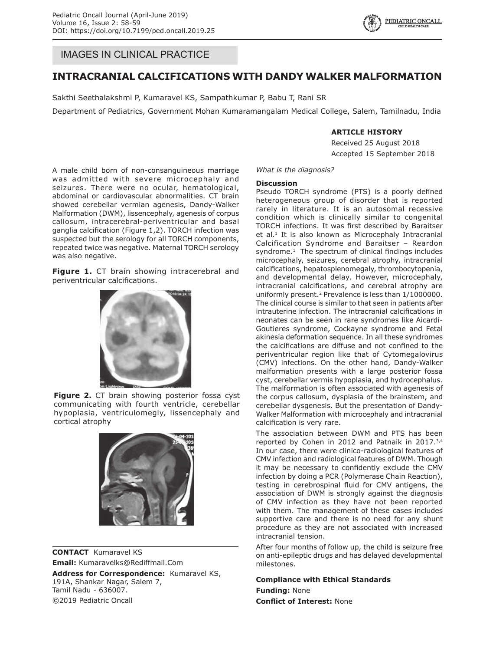# IMAGES IN CLINICAL PRACTICE

# **Intracranial Calcifications with Dandy Walker Malformation**

Sakthi Seethalakshmi P, Kumaravel KS, Sampathkumar P, Babu T, Rani SR

Department of Pediatrics, Government Mohan Kumaramangalam Medical College, Salem, Tamilnadu, India

## **Article History**

Received 25 August 2018 Accepted 15 September 2018

A male child born of non-consanguineous marriage was admitted with severe microcephaly and seizures. There were no ocular, hematological, abdominal or cardiovascular abnormalities. CT brain showed cerebellar vermian agenesis, Dandy-Walker Malformation (DWM), lissencephaly, agenesis of corpus callosum, intracerebral-periventricular and basal ganglia calcification (Figure 1,2). TORCH infection was suspected but the serology for all TORCH components, repeated twice was negative. Maternal TORCH serology was also negative.

**Figure 1.** CT brain showing intracerebral and periventricular calcifications.



**Figure 2.** CT brain showing posterior fossa cyst communicating with fourth ventricle, cerebellar hypoplasia, ventriculomegly, lissencephaly and cortical atrophy



**Contact** Kumaravel KS **Email:** Kumaravelks@Rediffmail.Com Address for Correspondence: Kumaravel KS, 191A, Shankar Nagar, Salem 7, Tamil Nadu - 636007. ©2019 Pediatric Oncall

#### *What is the diagnosis?*

#### **Discussion**

Pseudo TORCH syndrome (PTS) is a poorly defined heterogeneous group of disorder that is reported rarely in literature. It is an autosomal recessive condition which is clinically similar to congenital TORCH infections. It was first described by Baraitser et al.<sup>1</sup> It is also known as Microcephaly Intracranial Calcification Syndrome and Baraitser – Reardon syndrome. $1$  The spectrum of clinical findings includes microcephaly, seizures, cerebral atrophy, intracranial calcifications, hepatosplenomegaly, thrombocytopenia, and developmental delay. However, microcephaly, intracranial calcifications, and cerebral atrophy are uniformly present.<sup>2</sup> Prevalence is less than 1/1000000. The clinical course is similar to that seen in patients after intrauterine infection. The intracranial calcifications in neonates can be seen in rare syndromes like Aicardi-Goutieres syndrome, Cockayne syndrome and Fetal akinesia deformation sequence. In all these syndromes the calcifications are diffuse and not confined to the periventricular region like that of Cytomegalovirus (CMV) infections. On the other hand, Dandy-Walker malformation presents with a large posterior fossa cyst, cerebellar vermis hypoplasia, and hydrocephalus. The malformation is often associated with agenesis of the corpus callosum, dysplasia of the brainstem, and cerebellar dysgenesis. But the presentation of Dandy-Walker Malformation with microcephaly and intracranial calcification is very rare.

The association between DWM and PTS has been reported by Cohen in 2012 and Patnaik in 2017.<sup>3,4</sup> In our case, there were clinico-radiological features of CMV infection and radiological features of DWM. Though it may be necessary to confidently exclude the CMV infection by doing a PCR (Polymerase Chain Reaction), testing in cerebrospinal fluid for CMV antigens, the association of DWM is strongly against the diagnosis of CMV infection as they have not been reported with them. The management of these cases includes supportive care and there is no need for any shunt procedure as they are not associated with increased intracranial tension.

After four months of follow up, the child is seizure free on anti-epileptic drugs and has delayed developmental milestones.

### **Compliance with Ethical Standards**

**Funding:** None **Conflict of Interest:** None